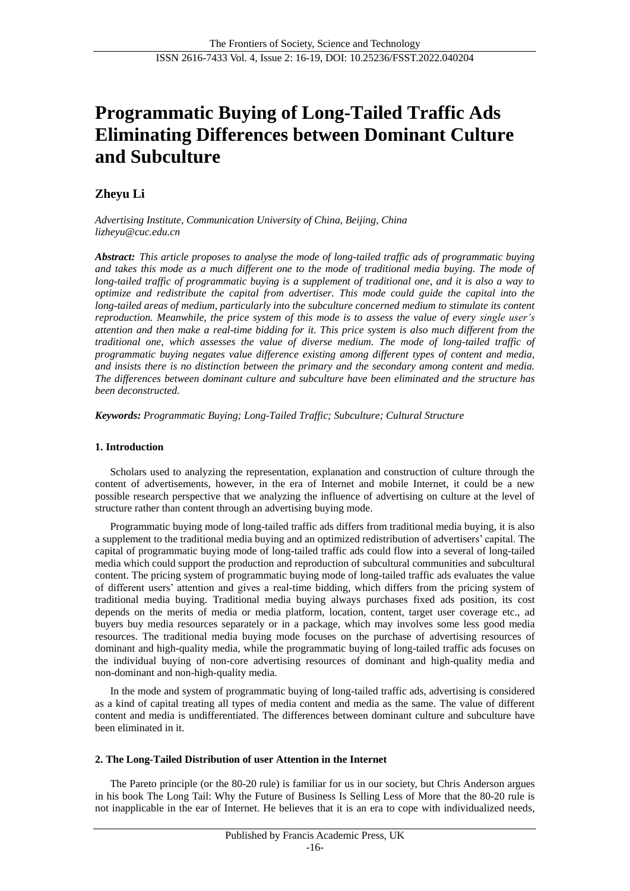# **Programmatic Buying of Long-Tailed Traffic Ads Eliminating Differences between Dominant Culture and Subculture**

# **Zheyu Li**

*Advertising Institute, Communication University of China, Beijing, China lizheyu@cuc.edu.cn*

*Abstract: This article proposes to analyse the mode of long-tailed traffic ads of programmatic buying*  and takes this mode as a much different one to the mode of traditional media buying. The mode of *long-tailed traffic of programmatic buying is a supplement of traditional one, and it is also a way to optimize and redistribute the capital from advertiser. This mode could guide the capital into the long-tailed areas of medium, particularly into the subculture concerned medium to stimulate its content reproduction. Meanwhile, the price system of this mode is to assess the value of every single user's attention and then make a real-time bidding for it. This price system is also much different from the traditional one, which assesses the value of diverse medium. The mode of long-tailed traffic of programmatic buying negates value difference existing among different types of content and media, and insists there is no distinction between the primary and the secondary among content and media. The differences between dominant culture and subculture have been eliminated and the structure has been deconstructed.*

*Keywords: Programmatic Buying; Long-Tailed Traffic; Subculture; Cultural Structure*

## **1. Introduction**

Scholars used to analyzing the representation, explanation and construction of culture through the content of advertisements, however, in the era of Internet and mobile Internet, it could be a new possible research perspective that we analyzing the influence of advertising on culture at the level of structure rather than content through an advertising buying mode.

Programmatic buying mode of long-tailed traffic ads differs from traditional media buying, it is also a supplement to the traditional media buying and an optimized redistribution of advertisers' capital. The capital of programmatic buying mode of long-tailed traffic ads could flow into a several of long-tailed media which could support the production and reproduction of subcultural communities and subcultural content. The pricing system of programmatic buying mode of long-tailed traffic ads evaluates the value of different users' attention and gives a real-time bidding, which differs from the pricing system of traditional media buying. Traditional media buying always purchases fixed ads position, its cost depends on the merits of media or media platform, location, content, target user coverage etc., ad buyers buy media resources separately or in a package, which may involves some less good media resources. The traditional media buying mode focuses on the purchase of advertising resources of dominant and high-quality media, while the programmatic buying of long-tailed traffic ads focuses on the individual buying of non-core advertising resources of dominant and high-quality media and non-dominant and non-high-quality media.

In the mode and system of programmatic buying of long-tailed traffic ads, advertising is considered as a kind of capital treating all types of media content and media as the same. The value of different content and media is undifferentiated. The differences between dominant culture and subculture have been eliminated in it.

#### **2. The Long-Tailed Distribution of user Attention in the Internet**

The Pareto principle (or the 80-20 rule) is familiar for us in our society, but Chris Anderson argues in his book The Long Tail: Why the Future of Business Is Selling Less of More that the 80-20 rule is not inapplicable in the ear of Internet. He believes that it is an era to cope with individualized needs,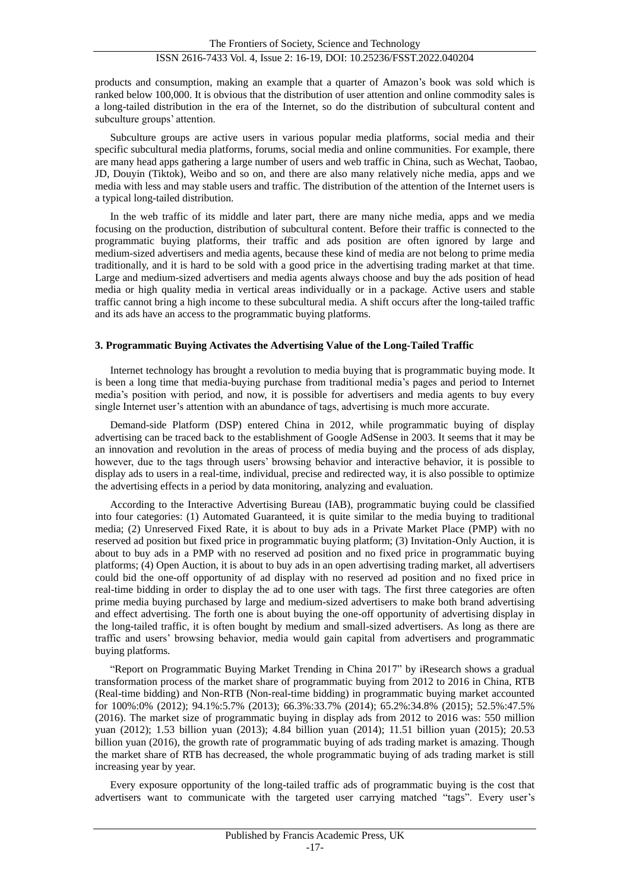products and consumption, making an example that a quarter of Amazon's book was sold which is ranked below 100,000. It is obvious that the distribution of user attention and online commodity sales is a long-tailed distribution in the era of the Internet, so do the distribution of subcultural content and subculture groups' attention.

Subculture groups are active users in various popular media platforms, social media and their specific subcultural media platforms, forums, social media and online communities. For example, there are many head apps gathering a large number of users and web traffic in China, such as Wechat, Taobao, JD, Douyin (Tiktok), Weibo and so on, and there are also many relatively niche media, apps and we media with less and may stable users and traffic. The distribution of the attention of the Internet users is a typical long-tailed distribution.

In the web traffic of its middle and later part, there are many niche media, apps and we media focusing on the production, distribution of subcultural content. Before their traffic is connected to the programmatic buying platforms, their traffic and ads position are often ignored by large and medium-sized advertisers and media agents, because these kind of media are not belong to prime media traditionally, and it is hard to be sold with a good price in the advertising trading market at that time. Large and medium-sized advertisers and media agents always choose and buy the ads position of head media or high quality media in vertical areas individually or in a package. Active users and stable traffic cannot bring a high income to these subcultural media. A shift occurs after the long-tailed traffic and its ads have an access to the programmatic buying platforms.

#### **3. Programmatic Buying Activates the Advertising Value of the Long-Tailed Traffic**

Internet technology has brought a revolution to media buying that is programmatic buying mode. It is been a long time that media-buying purchase from traditional media's pages and period to Internet media's position with period, and now, it is possible for advertisers and media agents to buy every single Internet user's attention with an abundance of tags, advertising is much more accurate.

Demand-side Platform (DSP) entered China in 2012, while programmatic buying of display advertising can be traced back to the establishment of Google AdSense in 2003. It seems that it may be an innovation and revolution in the areas of process of media buying and the process of ads display, however, due to the tags through users' browsing behavior and interactive behavior, it is possible to display ads to users in a real-time, individual, precise and redirected way, it is also possible to optimize the advertising effects in a period by data monitoring, analyzing and evaluation.

According to the Interactive Advertising Bureau (IAB), programmatic buying could be classified into four categories: (1) Automated Guaranteed, it is quite similar to the media buying to traditional media; (2) Unreserved Fixed Rate, it is about to buy ads in a Private Market Place (PMP) with no reserved ad position but fixed price in programmatic buying platform; (3) Invitation-Only Auction, it is about to buy ads in a PMP with no reserved ad position and no fixed price in programmatic buying platforms; (4) Open Auction, it is about to buy ads in an open advertising trading market, all advertisers could bid the one-off opportunity of ad display with no reserved ad position and no fixed price in real-time bidding in order to display the ad to one user with tags. The first three categories are often prime media buying purchased by large and medium-sized advertisers to make both brand advertising and effect advertising. The forth one is about buying the one-off opportunity of advertising display in the long-tailed traffic, it is often bought by medium and small-sized advertisers. As long as there are traffic and users' browsing behavior, media would gain capital from advertisers and programmatic buying platforms.

"Report on Programmatic Buying Market Trending in China 2017" by iResearch shows a gradual transformation process of the market share of programmatic buying from 2012 to 2016 in China, RTB (Real-time bidding) and Non-RTB (Non-real-time bidding) in programmatic buying market accounted for 100%:0% (2012); 94.1%:5.7% (2013); 66.3%:33.7% (2014); 65.2%:34.8% (2015); 52.5%:47.5% (2016). The market size of programmatic buying in display ads from 2012 to 2016 was: 550 million yuan (2012); 1.53 billion yuan (2013); 4.84 billion yuan (2014); 11.51 billion yuan (2015); 20.53 billion yuan (2016), the growth rate of programmatic buying of ads trading market is amazing. Though the market share of RTB has decreased, the whole programmatic buying of ads trading market is still increasing year by year.

Every exposure opportunity of the long-tailed traffic ads of programmatic buying is the cost that advertisers want to communicate with the targeted user carrying matched "tags". Every user's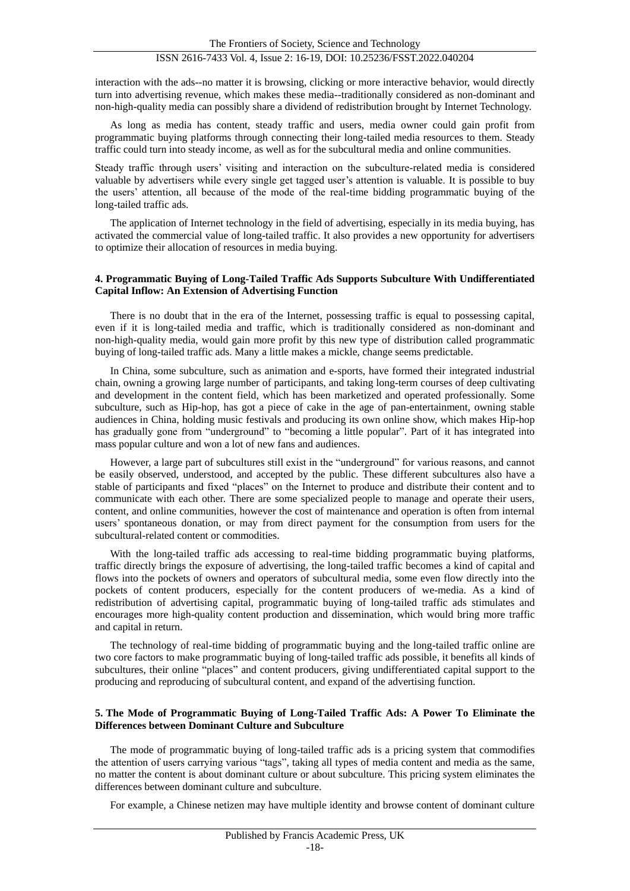interaction with the ads--no matter it is browsing, clicking or more interactive behavior, would directly turn into advertising revenue, which makes these media--traditionally considered as non-dominant and non-high-quality media can possibly share a dividend of redistribution brought by Internet Technology.

As long as media has content, steady traffic and users, media owner could gain profit from programmatic buying platforms through connecting their long-tailed media resources to them. Steady traffic could turn into steady income, as well as for the subcultural media and online communities.

Steady traffic through users' visiting and interaction on the subculture-related media is considered valuable by advertisers while every single get tagged user's attention is valuable. It is possible to buy the users' attention, all because of the mode of the real-time bidding programmatic buying of the long-tailed traffic ads.

The application of Internet technology in the field of advertising, especially in its media buying, has activated the commercial value of long-tailed traffic. It also provides a new opportunity for advertisers to optimize their allocation of resources in media buying.

#### **4. Programmatic Buying of Long-Tailed Traffic Ads Supports Subculture With Undifferentiated Capital Inflow: An Extension of Advertising Function**

There is no doubt that in the era of the Internet, possessing traffic is equal to possessing capital, even if it is long-tailed media and traffic, which is traditionally considered as non-dominant and non-high-quality media, would gain more profit by this new type of distribution called programmatic buying of long-tailed traffic ads. Many a little makes a mickle, change seems predictable.

In China, some subculture, such as animation and e-sports, have formed their integrated industrial chain, owning a growing large number of participants, and taking long-term courses of deep cultivating and development in the content field, which has been marketized and operated professionally. Some subculture, such as Hip-hop, has got a piece of cake in the age of pan-entertainment, owning stable audiences in China, holding music festivals and producing its own online show, which makes Hip-hop has gradually gone from "underground" to "becoming a little popular". Part of it has integrated into mass popular culture and won a lot of new fans and audiences.

However, a large part of subcultures still exist in the "underground" for various reasons, and cannot be easily observed, understood, and accepted by the public. These different subcultures also have a stable of participants and fixed "places" on the Internet to produce and distribute their content and to communicate with each other. There are some specialized people to manage and operate their users, content, and online communities, however the cost of maintenance and operation is often from internal users' spontaneous donation, or may from direct payment for the consumption from users for the subcultural-related content or commodities.

With the long-tailed traffic ads accessing to real-time bidding programmatic buying platforms, traffic directly brings the exposure of advertising, the long-tailed traffic becomes a kind of capital and flows into the pockets of owners and operators of subcultural media, some even flow directly into the pockets of content producers, especially for the content producers of we-media. As a kind of redistribution of advertising capital, programmatic buying of long-tailed traffic ads stimulates and encourages more high-quality content production and dissemination, which would bring more traffic and capital in return.

The technology of real-time bidding of programmatic buying and the long-tailed traffic online are two core factors to make programmatic buying of long-tailed traffic ads possible, it benefits all kinds of subcultures, their online "places" and content producers, giving undifferentiated capital support to the producing and reproducing of subcultural content, and expand of the advertising function.

### **5. The Mode of Programmatic Buying of Long-Tailed Traffic Ads: A Power To Eliminate the Differences between Dominant Culture and Subculture**

The mode of programmatic buying of long-tailed traffic ads is a pricing system that commodifies the attention of users carrying various "tags", taking all types of media content and media as the same, no matter the content is about dominant culture or about subculture. This pricing system eliminates the differences between dominant culture and subculture.

For example, a Chinese netizen may have multiple identity and browse content of dominant culture